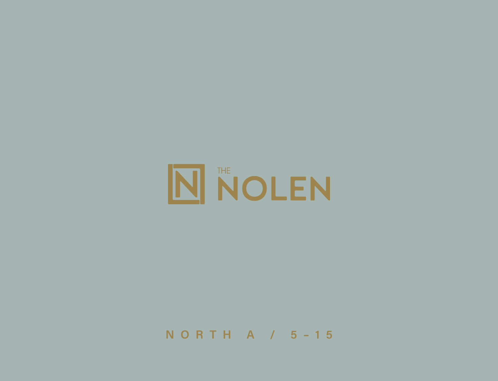

NORTH A / 5-15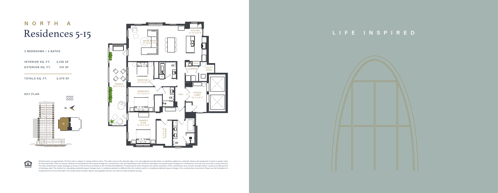All dimensions are approximate. The floor plan is subject to change without notice. The seller reserves the absolute right, in its sole judgment and discretion, to substitute appliances, materials, fixtures and equipment o for those specified. There are various methods of calculating the total square footage of a condominium unit, and depending on the method of calculation, the quoted square footage of a condominium unit may vary more than a The total condominium square footages as shown in this brochure are based on the "Architectural Method" of measurement which measures the exterior perimeter of the condominium unit, and also includes interior columns and f of demising walls. The method for calculating residential square footage used in marketing materials is different than the method used for calculating residential square footage in the condominium documents. Please see the Condominium for more information. The model shown includes options and upgrades that are not a part of a base residence pricing.

## **NORTH A** Residences 5-15

| <b>3 BEDROOMS / 3 BATHS</b> |          |
|-----------------------------|----------|
| <b>INTERIOR SQ. FT.</b>     | 2,156 SF |
| <b>EXTERIOR SQ. FT.</b>     | 341 SF   |
| <b>TOTALS SQ. FT.</b>       | 2,479 SF |





## **LIFE INSPIRED**